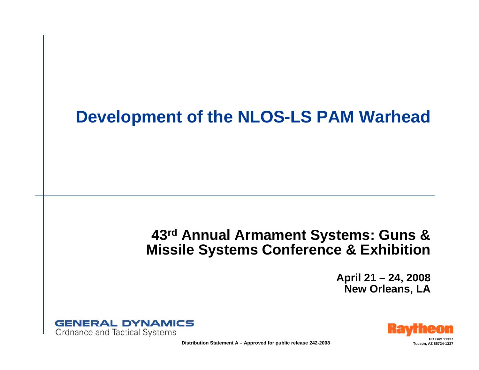#### **Development of the NLOS-LS PAM Warhead**

#### **43rd Annual Armament Systems: Guns & Missile Systems Conference & Exhibition**

**April 21 – 24, 2008 New Orleans, LA**





**PO Box 11337**

**Distribution Statement A – Approved for public release 242-2008 Tucker 1998 Tucson, AZ 85724-1337**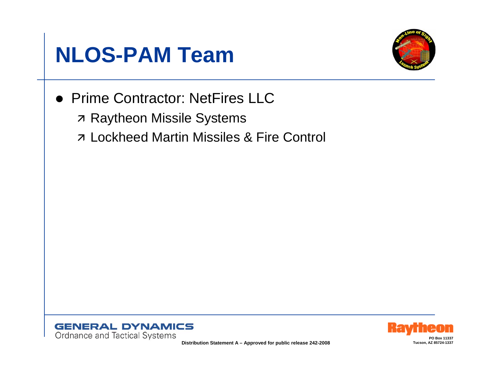



• Prime Contractor: NetFires LLC **7 Raytheon Missile Systems 7 Lockheed Martin Missiles & Fire Control** 





Distribution Statement A - Approved for public release 242-2008

Tucson, AZ 85724-1337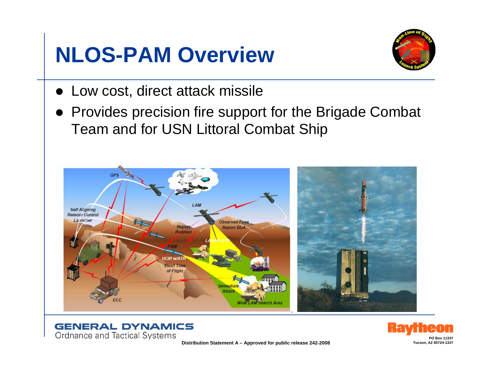#### **NLOS-PAM Overview**



- Low cost, direct attack missile
- Provides precision fire support for the Brigade Combat Team and for USN Littoral Combat Ship







**PO Box 11337**Tucson, AZ 85724-1337

**Distribution Statement A – Approved for public release 242-2008**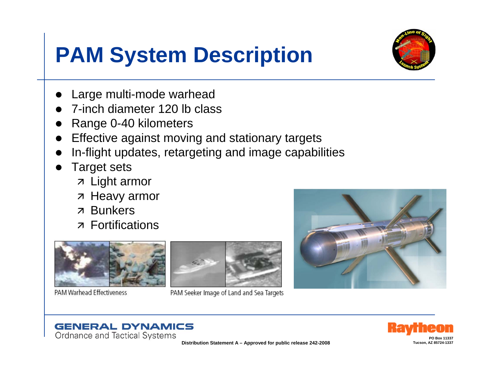## **PAM System Description**



- Large multi-mode warhead
- 7-inch diameter 120 lb class
- Range 0-40 kilometers
- Effective against moving and stationary targets
- In-flight updates, retargeting and image capabilities
- **Target sets** 
	- $\n *z*$  Light armor
	- **7 Heavy armor**
	- **z** Bunkers
	- **z** Fortifications



PAM Warhead Effectiveness



PAM Seeker Image of Land and Sea Targets







Tucson, AZ 85724-1337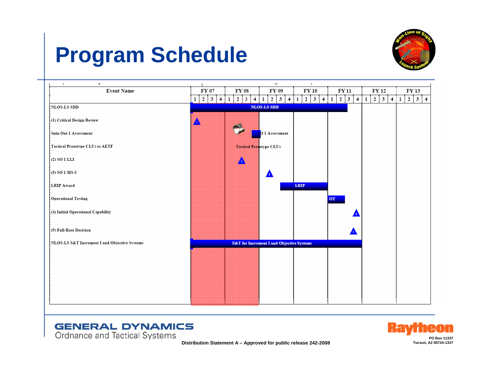### **Program Schedule**









**Distribution Statement A – Approved for public release 242-2008**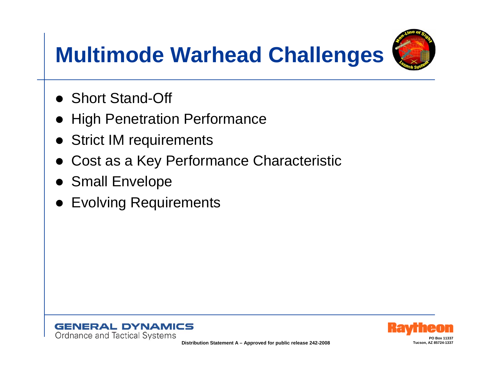# **Multimode Warhead Challenges**



- Short Stand-Off
- $\bullet$ High Penetration Performance
- Strict IM requirements
- $\bullet$ Cost as a Key Performance Characteristic
- Small Envelope
- Evolving Requirements



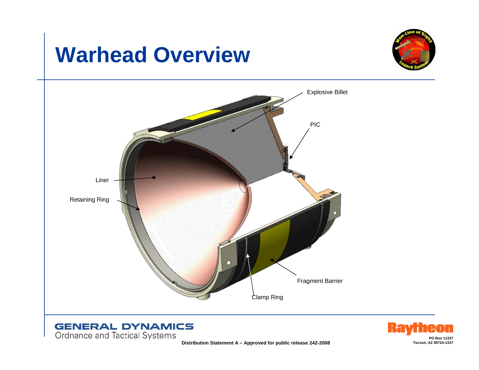#### **Warhead Overview**

Ordnance and Tactical Systems







**Distribution Statement A - Approved for public release 242-2008**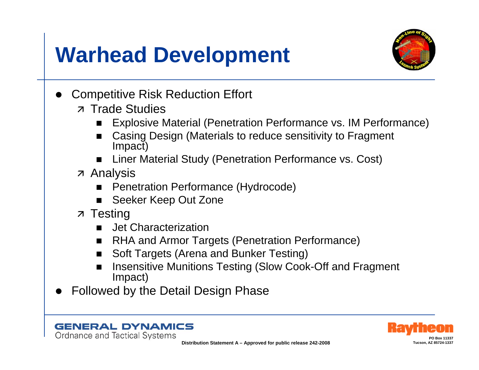#### **Warhead Development**



- **Competitive Risk Reduction Effort** 
	- z Trade Studies
		- Explosive Material (Penetration Performance vs. IM Performance)
		- Casing Design (Materials to reduce sensitivity to Fragment Impact)
		- Liner Material Study (Penetration Performance vs. Cost)
	- **z** Analysis
		- **Penetration Performance (Hydrocode)**
		- Seeker Keep Out Zone
	- $\overline{z}$  Testing

**GENERAL DYNAMICS** 

Ordnance and Tactical Systems

- Jet Characterization
- **RHA and Armor Targets (Penetration Performance)**  $\blacksquare$
- Soft Targets (Arena and Bunker Testing)
- Insensitive Munitions Testing (Slow Cook-Off and Fragment Impact)
- **Followed by the Detail Design Phase**



Tucson AZ 85724-133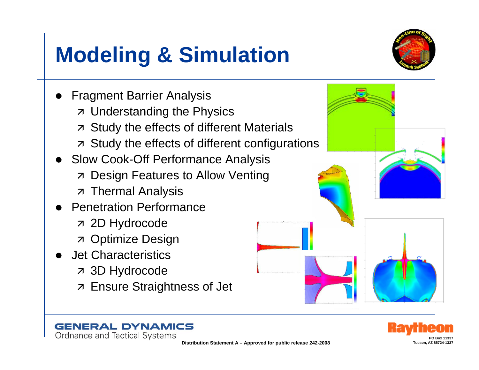# **Modeling & Simulation**



**Fragment Barrier Analysis 7 Understanding the Physics 7 Study the effects of different Materials 7 Study the effects of different configurations** Slow Cook-Off Performance Analysis **7 Design Features to Allow Venting 7 Thermal Analysis Penetration Performance 7 2D Hydrocode z** Optimize Design **Jet Characteristics 7 3D Hydrocode 7 Ensure Straightness of Jet** 



**GENERAL DYNAMICS** Ordnance and Tactical Systems

Distribution Statement A - Approved for public release 242-2008

Tucson, AZ 85724-1337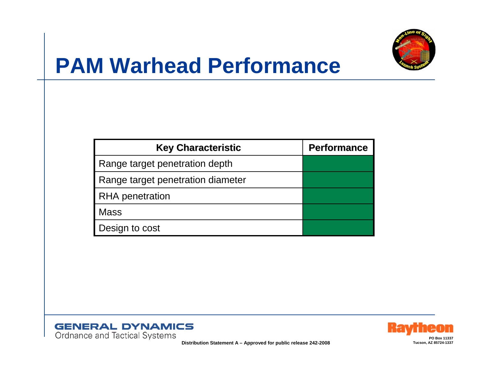

#### **PAM Warhead Performance**

| <b>Key Characteristic</b>         | <b>Performance</b> |
|-----------------------------------|--------------------|
| Range target penetration depth    |                    |
| Range target penetration diameter |                    |
| <b>RHA</b> penetration            |                    |
| <b>Mass</b>                       |                    |
| Design to cost                    |                    |





**Distribution Statement A – Approved for public release 242-2008**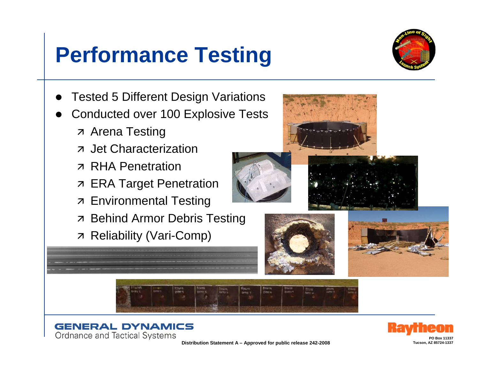#### **Performance Testing**



- **Tested 5 Different Design Variations**
- **Conducted over 100 Explosive Tests** 
	- **z** Arena Testing
	- **z** Jet Characterization
	- **7 RHA Penetration**
	- **7 ERA Target Penetration**
	- **7 Environmental Testing**
	- **7 Behind Armor Debris Testing**
	- **7 Reliability (Vari-Comp)**

















Distribution Statement A - Approved for public release 242-2008

Tucson AZ 85724-1337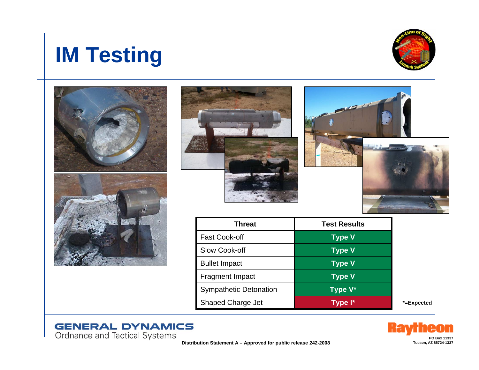# **GENERAL DYNAMICS**<br>Ordnance and Tactical Systems<br>Distribution Statement A – Approved for public release 242-2008

| <b>IM Testing</b> |
|-------------------|
|-------------------|



| <b>Threat</b>                 | <b>Test Results</b> |
|-------------------------------|---------------------|
| <b>Fast Cook-off</b>          | <b>Type V</b>       |
| Slow Cook-off                 | <b>Type V</b>       |
| <b>Bullet Impact</b>          | <b>Type V</b>       |
| <b>Fragment Impact</b>        | <b>Type V</b>       |
| <b>Sympathetic Detonation</b> | Type V*             |
| <b>Shaped Charge Jet</b>      | Type I*             |

\*=Expected





**PO Box 11337**



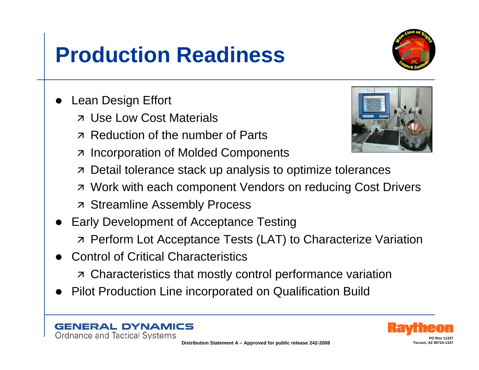- **7** Reduction of the number of Parts
- **Incorporation of Molded Components**  $\overline{\mathcal{A}}$
- Detail tolerance stack up analysis to optimize tolerances  $\overline{\mathcal{A}}$
- **7 Work with each component Vendors on reducing Cost Drivers**
- **7 Streamline Assembly Process**
- **Early Development of Acceptance Testing 7 Perform Lot Acceptance Tests (LAT) to Characterize Variation**
- **Control of Critical Characteristics**

**AL DYNAMICS** 

Ordnance and Tactical Systems

- **7 Characteristics that mostly control performance variation**
- **Pilot Production Line incorporated on Qualification Build**

Tucson, A7 85724-42

#### **Production Readiness**

- **Lean Design Effort** 
	- **z** Use Low Cost Materials
	-



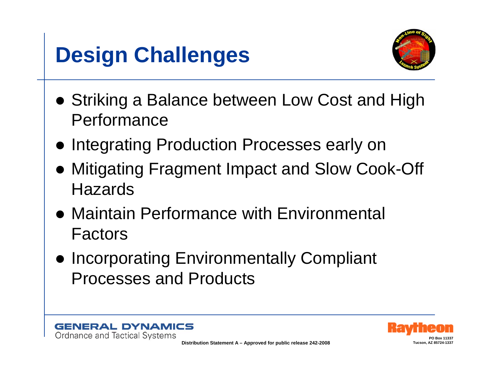# **Design Challenges**



- Striking a Balance between Low Cost and High Performance
- **Integrating Production Processes early on**
- Mitigating Fragment Impact and Slow Cook-Off **Hazards**
- Maintain Performance with Environmental Factors
- **Incorporating Environmentally Compliant** Processes and Products





**PO Box 11337**